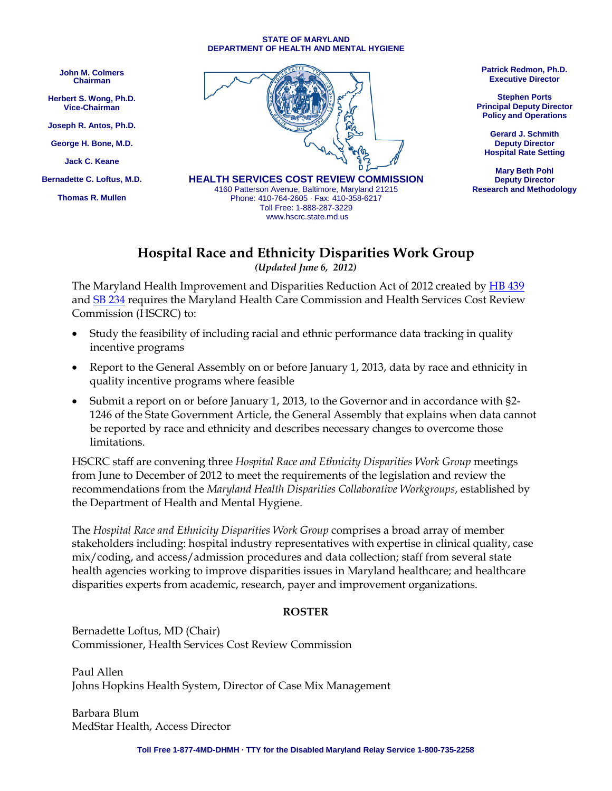## **STATE OF MARYLAND DEPARTMENT OF HEALTH AND MENTAL HYGIENE**

**John M. Colmers Chairman**

**Herbert S. Wong, Ph.D. Vice-Chairman**

**Joseph R. Antos, Ph.D.**

**George H. Bone, M.D.**

**Jack C. Keane**

**Bernadette C. Loftus, M.D.**

**Thomas R. Mullen**



4160 Patterson Avenue, Baltimore, Maryland 21215 Phone: 410-764-2605 · Fax: 410-358-6217 Toll Free: 1-888-287-3229 www.hscrc.state.md.us

**Patrick Redmon, Ph.D. Executive Director**

**Stephen Ports Principal Deputy Director Policy and Operations**

**Gerard J. Schmith Deputy Director Hospital Rate Setting**

**Mary Beth Pohl Deputy Director Research and Methodology**

## **Hospital Race and Ethnicity Disparities Work Group** *(Updated June 6, 2012)*

The Maryland Health Improvement and Disparities Reduction Act of 2012 created by **HB 439** and [SB 234](http://mlis.state.md.us/2012rs/billfile/SB0234.htm) requires the Maryland Health Care Commission and Health Services Cost Review Commission (HSCRC) to:

- Study the feasibility of including racial and ethnic performance data tracking in quality incentive programs
- Report to the General Assembly on or before January 1, 2013, data by race and ethnicity in quality incentive programs where feasible
- Submit a report on or before January 1, 2013, to the Governor and in accordance with §2- 1246 of the State Government Article, the General Assembly that explains when data cannot be reported by race and ethnicity and describes necessary changes to overcome those limitations.

HSCRC staff are convening three *Hospital Race and Ethnicity Disparities Work Group* meetings from June to December of 2012 to meet the requirements of the legislation and review the recommendations from the *Maryland Health Disparities Collaborative Workgroups*, established by the Department of Health and Mental Hygiene.

The *Hospital Race and Ethnicity Disparities Work Group* comprises a broad array of member stakeholders including: hospital industry representatives with expertise in clinical quality, case mix/coding, and access/admission procedures and data collection; staff from several state health agencies working to improve disparities issues in Maryland healthcare; and healthcare disparities experts from academic, research, payer and improvement organizations.

## **ROSTER**

Bernadette Loftus, MD (Chair) Commissioner, Health Services Cost Review Commission

Paul Allen Johns Hopkins Health System, Director of Case Mix Management

Barbara Blum MedStar Health, Access Director